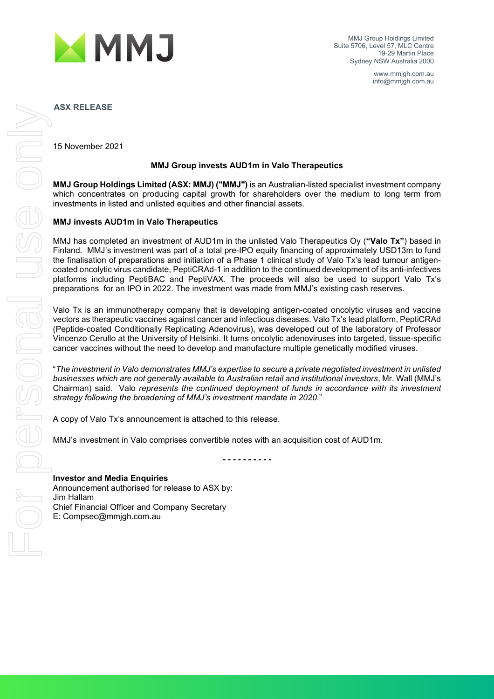

MMJ Group Holdings Limited Suite 5706, Level 57, MLC Centre 19-29 Martin Place Sydney NSW Australia 2000

> www.mmjgh.com.au info@mmjgh.com.au

**ASX RELEASE**

15 November 2021

### **MMJ Group invests AUD1m in Valo Therapeutics**

**MMJ Group Holdings Limited (ASX: MMJ) ("MMJ")** is an Australian-listed specialist investment company which concentrates on producing capital growth for shareholders over the medium to long term from investments in listed and unlisted equities and other financial assets.

## **MMJ invests AUD1m in Valo Therapeutics**

MMJ has completed an investment of AUD1m in the unlisted Valo Therapeutics Oy (**"Valo Tx"**) based in Finland. MMJ's investment was part of a total pre-IPO equity financing of approximately USD13m to fund the finalisation of preparations and initiation of a Phase 1 clinical study of Valo Tx's lead tumour antigencoated oncolytic virus candidate, PeptiCRAd-1 in addition to the continued development of its anti-infectives platforms including PeptiBAC and PeptiVAX. The proceeds will also be used to support Valo Tx's preparations for an IPO in 2022. The investment was made from MMJ's existing cash reserves.

Valo Tx is an immunotherapy company that is developing antigen-coated oncolytic viruses and vaccine vectors as therapeutic vaccines against cancer and infectious diseases. Valo Tx's lead platform, PeptiCRAd (Peptide-coated Conditionally Replicating Adenovirus), was developed out of the laboratory of Professor Vincenzo Cerullo at the University of Helsinki. It turns oncolytic adenoviruses into targeted, tissue-specific cancer vaccines without the need to develop and manufacture multiple genetically modified viruses.

"*The investment in Valo demonstrates MMJ's expertise to secure a private negotiated investment in unlisted businesses which are not generally available to Australian retail and institutional investors*, Mr. Wall (MMJ's Chairman) said. Valo *represents the continued deployment of funds in accordance with its investment strategy following the broadening of MMJ's investment mandate in 2020*."

A copy of Valo Tx's announcement is attached to this release.

MMJ's investment in Valo comprises convertible notes with an acquisition cost of AUD1m.

*- - - - - - - - - -*

**Investor and Media Enquiries** Announcement authorised for release to ASX by: Jim Hallam Chief Financial Officer and Company Secretary E: Compsec@mmjgh.com.au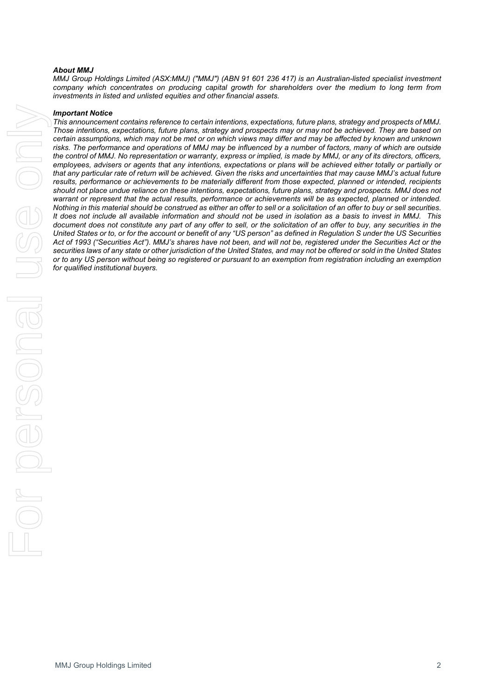#### *About MMJ*

*MMJ Group Holdings Limited (ASX:MMJ) ("MMJ") (ABN 91 601 236 417) is an Australian-listed specialist investment company which concentrates on producing capital growth for shareholders over the medium to long term from investments in listed and unlisted equities and other financial assets.*

#### *Important Notice*

*This announcement contains reference to certain intentions, expectations, future plans, strategy and prospects of MMJ. Those intentions, expectations, future plans, strategy and prospects may or may not be achieved. They are based on certain assumptions, which may not be met or on which views may differ and may be affected by known and unknown*  risks. The performance and operations of MMJ may be influenced by a number of factors, many of which are outside *the control of MMJ. No representation or warranty, express or implied, is made by MMJ, or any of its directors, officers, employees, advisers or agents that any intentions, expectations or plans will be achieved either totally or partially or that any particular rate of return will be achieved. Given the risks and uncertainties that may cause MMJ's actual future results, performance or achievements to be materially different from those expected, planned or intended, recipients should not place undue reliance on these intentions, expectations, future plans, strategy and prospects. MMJ does not warrant or represent that the actual results, performance or achievements will be as expected, planned or intended. Nothing in this material should be construed as either an offer to sell or a solicitation of an offer to buy or sell securities. It does not include all available information and should not be used in isolation as a basis to invest in MMJ. This document does not constitute any part of any offer to sell, or the solicitation of an offer to buy, any securities in the United States or to, or for the account or benefit of any "US person" as defined in Regulation S under the US Securities Act of 1993 ("Securities Act"). MMJ's shares have not been, and will not be, registered under the Securities Act or the securities laws of any state or other jurisdiction of the United States, and may not be offered or sold in the United States or to any US person without being so registered or pursuant to an exemption from registration including an exemption for qualified institutional buyers.*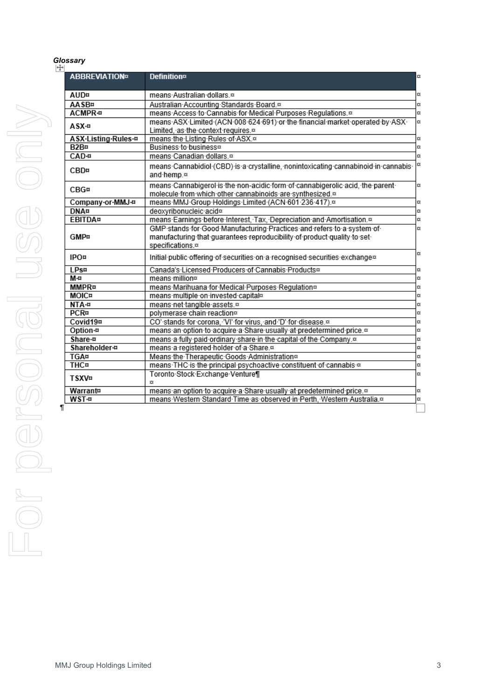# *Glossary*

| <b>ABBREVIATION¤</b>          | <b>Definition</b> <sup>®</sup>                                                                                                                   |
|-------------------------------|--------------------------------------------------------------------------------------------------------------------------------------------------|
| AUD¤                          | means Australian dollars. <sup>xx</sup>                                                                                                          |
| <b>AASB¤</b>                  | Australian Accounting Standards Board. <sup>®</sup>                                                                                              |
| <b>ACMPR-B</b>                | means Access to Cannabis for Medical Purposes Regulations. <sup>12</sup>                                                                         |
|                               | means ASX Limited (ACN 008 624 691) or the financial market operated by ASX                                                                      |
| ASX-¤                         | Limited, as the context requires.¤                                                                                                               |
| ASX-Listing-Rules-¤           | means the Listing Rules of ASX.¤                                                                                                                 |
| B <sub>2</sub> B <sub>¤</sub> | Business to business <sup>®</sup>                                                                                                                |
| CAD-¤                         | means-Canadian-dollars.¤                                                                                                                         |
|                               |                                                                                                                                                  |
| <b>CBD¤</b>                   | means-Cannabidiol-(CBD)-is-a-crystalline,-nonintoxicating-cannabinoid-in-cannabis-<br>and hemp.¤                                                 |
| CBG#                          | means Cannabigerol is the non-acidic form of cannabigerolic acid, the parent<br>molecule from which other cannabinoids are synthesized.¤         |
| Company-or-MMJ-#              | means-MMJ-Group-Holdings-Limited-(ACN-601-236-417).¤                                                                                             |
| <b>DNA¤</b>                   | deoxyribonucleic-acid <sup>®</sup>                                                                                                               |
| <b>EBITDA¤</b>                | means Earnings before Interest, Tax, Depreciation and Amortisation.¤                                                                             |
|                               |                                                                                                                                                  |
| <b>GMP¤</b>                   | GMP stands for Good Manufacturing Practices and refers to a system of<br>manufacturing that guarantees reproducibility of product quality to set |
| <b>IPO¤</b>                   | specifications. <sup>®</sup><br>Initial-public-offering-of-securities-on-a-recognised-securities-exchange¤                                       |
| <b>LPs¤</b>                   | Canada's Licensed Producers of Cannabis Products¤                                                                                                |
| M-¤                           | means million <sup>®</sup>                                                                                                                       |
| <b>MMPR¤</b>                  | means Marihuana for Medical Purposes Regulation <sup>®</sup>                                                                                     |
| <b>MOIC¤</b>                  | means multiple on invested capital <sup>or</sup>                                                                                                 |
| NTA-#                         | means-net-tangible-assets.¤                                                                                                                      |
| <b>PCR¤</b>                   | polymerase-chain-reaction¤                                                                                                                       |
| Covid19¤                      | CO' stands for corona, 'VI' for virus, and 'D' for disease.¤                                                                                     |
| Option-¤                      | means an option to acquire a Share usually at predetermined price. <sup>12</sup>                                                                 |
| Share-¤                       | means a fully paid ordinary share in the capital of the Company.¤                                                                                |
| Shareholder-¤                 | means-a-registered-holder-of-a-Share. <sup>®</sup>                                                                                               |
| <b>TGA¤</b>                   | Means the Therapeutic Goods Administration <sup>®</sup>                                                                                          |
| <b>THC¤</b>                   | means THC is the principal psychoactive constituent of cannabis a                                                                                |
| <b>TSXV¤</b>                  | Toronto Stock Exchange Venture                                                                                                                   |
|                               | X.                                                                                                                                               |
| Warrant¤                      | means an option to acquire a Share usually at predetermined price. <sup>12</sup>                                                                 |
| <b>WST-¤</b>                  | means-Western-Standard-Time-as-observed-in-Perth, Western-Australia.¤                                                                            |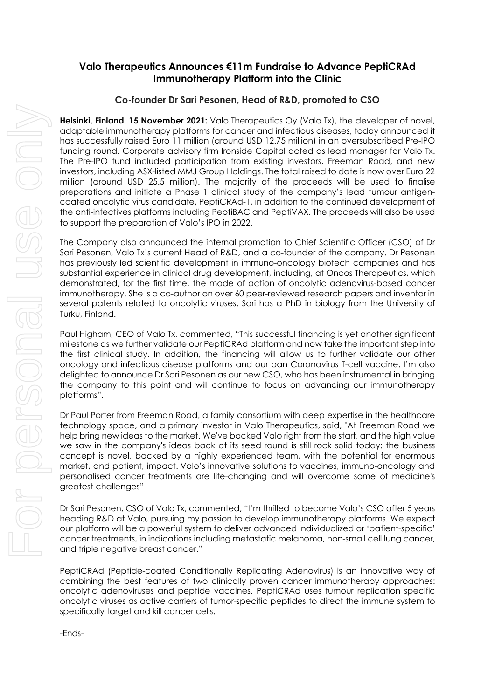# **Valo Therapeutics Announces €11m Fundraise to Advance PeptiCRAd Immunotherapy Platform into the Clinic**

# **Co-founder Dr Sari Pesonen, Head of R&D, promoted to CSO**

**Helsinki, Finland, 15 November 2021:** Valo Therapeutics Oy (Valo Tx), the developer of novel, adaptable immunotherapy platforms for cancer and infectious diseases, today announced it has successfully raised Euro 11 million (around USD 12.75 million) in an oversubscribed Pre-IPO funding round. Corporate advisory firm Ironside Capital acted as lead manager for Valo Tx. The Pre-IPO fund included participation from existing investors, Freeman Road, and new investors, including ASX-listed MMJ Group Holdings. The total raised to date is now over Euro 22 million (around USD 25.5 million). The majority of the proceeds will be used to finalise preparations and initiate a Phase 1 clinical study of the company's lead tumour antigencoated oncolytic virus candidate, PeptiCRAd-1, in addition to the continued development of the anti-infectives platforms including PeptiBAC and PeptiVAX. The proceeds will also be used to support the preparation of Valo's IPO in 2022.

The Company also announced the internal promotion to Chief Scientific Officer (CSO) of Dr Sari Pesonen, Valo Tx's current Head of R&D, and a co-founder of the company. Dr Pesonen has previously led scientific development in immuno-oncology biotech companies and has substantial experience in clinical drug development, including, at Oncos Therapeutics, which demonstrated, for the first time, the mode of action of oncolytic adenovirus-based cancer immunotherapy. She is a co-author on over 60 peer-reviewed research papers and inventor in several patents related to oncolytic viruses. Sari has a PhD in biology from the University of Turku, Finland.

Paul Higham, CEO of Valo Tx, commented, "This successful financing is yet another significant milestone as we further validate our PeptiCRAd platform and now take the important step into the first clinical study. In addition, the financing will allow us to further validate our other oncology and infectious disease platforms and our pan Coronavirus T-cell vaccine. I'm also delighted to announce Dr Sari Pesonen as our new CSO, who has been instrumental in bringing the company to this point and will continue to focus on advancing our immunotherapy platforms".

Dr Paul Porter from Freeman Road, a family consortium with deep expertise in the healthcare technology space, and a primary investor in Valo Therapeutics, said, "At Freeman Road we help bring new ideas to the market. We've backed Valo right from the start, and the high value we saw in the company's ideas back at its seed round is still rock solid today: the business concept is novel, backed by a highly experienced team, with the potential for enormous market, and patient, impact. Valo's innovative solutions to vaccines, immuno-oncology and personalised cancer treatments are life-changing and will overcome some of medicine's greatest challenges"

Dr Sari Pesonen, CSO of Valo Tx, commented, "I'm thrilled to become Valo's CSO after 5 years heading R&D at Valo, pursuing my passion to develop immunotherapy platforms. We expect our platform will be a powerful system to deliver advanced individualized or 'patient-specific' cancer treatments, in indications including metastatic melanoma, non-small cell lung cancer, and triple negative breast cancer."

PeptiCRAd (Peptide-coated Conditionally Replicating Adenovirus) is an innovative way of combining the best features of two clinically proven cancer immunotherapy approaches: oncolytic adenoviruses and peptide vaccines. PeptiCRAd uses tumour replication specific oncolytic viruses as active carriers of tumor-specific peptides to direct the immune system to specifically target and kill cancer cells.

-Ends-